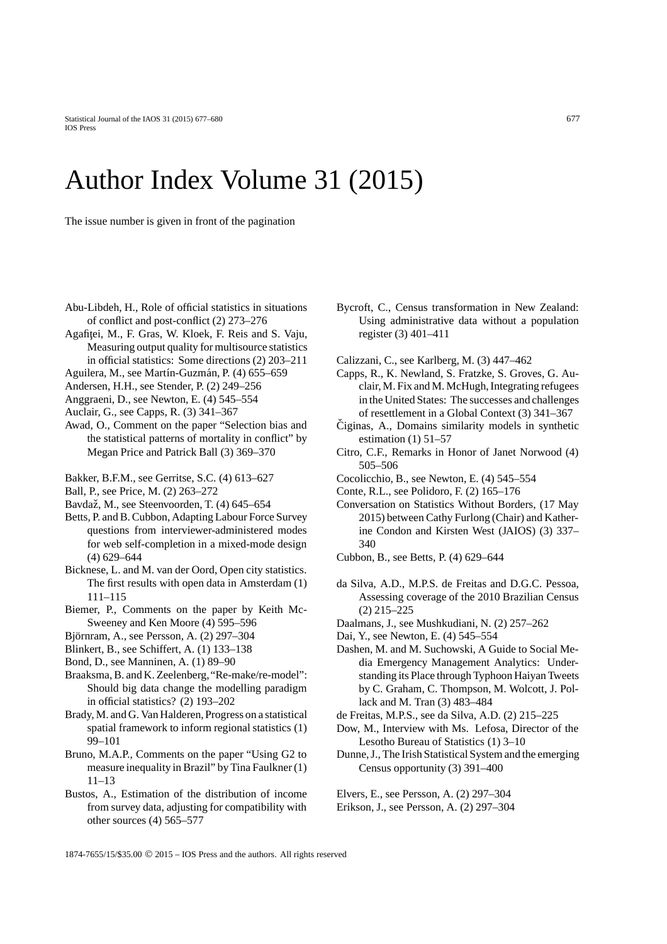## Author Index Volume 31 (2015)

The issue number is given in front of the pagination

- Abu-Libdeh, H., Role of official statistics in situations of conflict and post-conflict (2) 273–276
- Agafitei, M., F. Gras, W. Kloek, F. Reis and S. Vaju, Measuring output quality for multisource statistics in official statistics: Some directions (2) 203–211
- Aguilera, M., see Martín-Guzmán, P. (4) 655–659
- Andersen, H.H., see Stender, P. (2) 249–256
- Anggraeni, D., see Newton, E. (4) 545–554
- Auclair, G., see Capps, R. (3) 341–367
- Awad, O., Comment on the paper "Selection bias and the statistical patterns of mortality in conflict" by Megan Price and Patrick Ball (3) 369–370
- Bakker, B.F.M., see Gerritse, S.C. (4) 613–627
- Ball, P., see Price, M. (2) 263–272
- Bavdaž, M., see Steenvoorden, T. (4) 645-654
- Betts, P. and B. Cubbon, Adapting Labour Force Survey questions from interviewer-administered modes for web self-completion in a mixed-mode design (4) 629–644
- Bicknese, L. and M. van der Oord, Open city statistics. The first results with open data in Amsterdam (1) 111–115
- Biemer, P., Comments on the paper by Keith Mc-Sweeney and Ken Moore (4) 595–596
- Björnram, A., see Persson, A. (2) 297–304
- Blinkert, B., see Schiffert, A. (1) 133–138
- Bond, D., see Manninen, A. (1) 89–90
- Braaksma, B. and K. Zeelenberg,"Re-make/re-model": Should big data change the modelling paradigm in official statistics? (2) 193–202
- Brady, M. and G. Van Halderen, Progress on a statistical spatial framework to inform regional statistics (1) 99–101
- Bruno, M.A.P., Comments on the paper "Using G2 to measure inequality in Brazil" by Tina Faulkner (1) 11–13
- Bustos, A., Estimation of the distribution of income from survey data, adjusting for compatibility with other sources (4) 565–577
- Bycroft, C., Census transformation in New Zealand: Using administrative data without a population register (3) 401–411
- Calizzani, C., see Karlberg, M. (3) 447–462
- Capps, R., K. Newland, S. Fratzke, S. Groves, G. Auclair, M. Fix and M. McHugh, Integrating refugees in the United States: The successes and challenges of resettlement in a Global Context (3) 341–367
- $C$ iginas, A., Domains similarity models in synthetic estimation  $(1)$  51–57
- Citro, C.F., Remarks in Honor of Janet Norwood (4) 505–506
- Cocolicchio, B., see Newton, E. (4) 545–554
- Conte, R.L., see Polidoro, F. (2) 165–176
- Conversation on Statistics Without Borders, (17 May 2015) between Cathy Furlong (Chair) and Katherine Condon and Kirsten West (JAIOS) (3) 337– 340
- Cubbon, B., see Betts, P. (4) 629–644
- da Silva, A.D., M.P.S. de Freitas and D.G.C. Pessoa, Assessing coverage of the 2010 Brazilian Census (2) 215–225
- Daalmans, J., see Mushkudiani, N. (2) 257–262
- Dai, Y., see Newton, E. (4) 545–554
- Dashen, M. and M. Suchowski, A Guide to Social Media Emergency Management Analytics: Understanding its Place through Typhoon Haiyan Tweets by C. Graham, C. Thompson, M. Wolcott, J. Pollack and M. Tran (3) 483–484
- de Freitas, M.P.S., see da Silva, A.D. (2) 215–225
- Dow, M., Interview with Ms. Lefosa, Director of the Lesotho Bureau of Statistics (1) 3–10
- Dunne, J., The Irish Statistical System and the emerging Census opportunity (3) 391–400

Elvers, E., see Persson, A. (2) 297–304 Erikson, J., see Persson, A. (2) 297–304

1874-7655/15/\$35.00 © 2015 – IOS Press and the authors. All rights reserved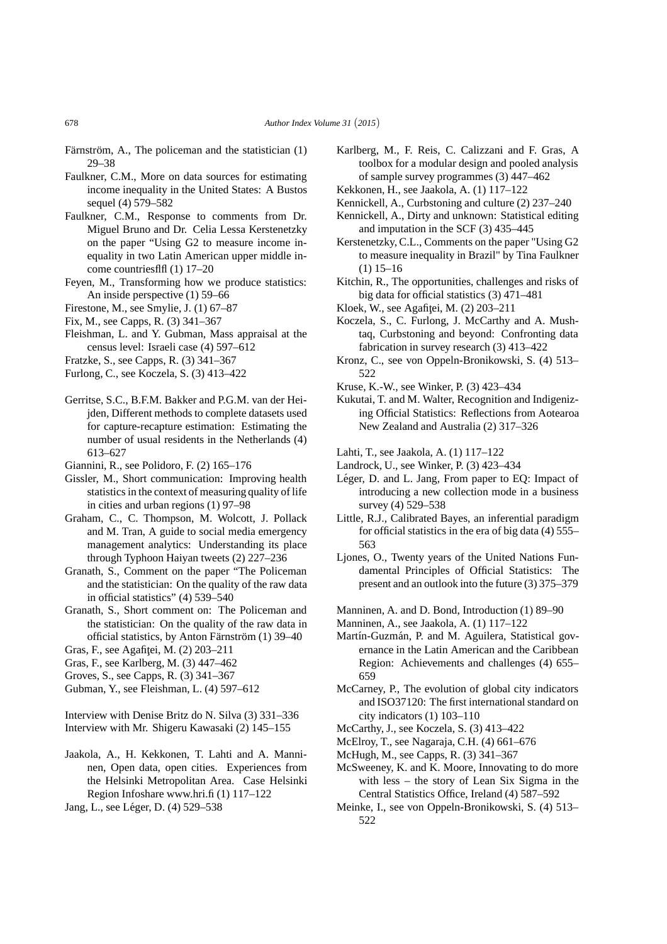- Färnström, A., The policeman and the statistician  $(1)$ 29–38
- Faulkner, C.M., More on data sources for estimating income inequality in the United States: A Bustos sequel (4) 579–582
- Faulkner, C.M., Response to comments from Dr. Miguel Bruno and Dr. Celia Lessa Kerstenetzky on the paper "Using G2 to measure income inequality in two Latin American upper middle income countriesflfl (1) 17–20
- Feyen, M., Transforming how we produce statistics: An inside perspective (1) 59–66
- Firestone, M., see Smylie, J. (1) 67–87
- Fix, M., see Capps, R. (3) 341–367
- Fleishman, L. and Y. Gubman, Mass appraisal at the census level: Israeli case (4) 597–612
- Fratzke, S., see Capps, R. (3) 341–367
- Furlong, C., see Koczela, S. (3) 413–422
- Gerritse, S.C., B.F.M. Bakker and P.G.M. van der Heijden, Different methods to complete datasets used for capture-recapture estimation: Estimating the number of usual residents in the Netherlands (4) 613–627
- Giannini, R., see Polidoro, F. (2) 165–176
- Gissler, M., Short communication: Improving health statistics in the context of measuring quality of life in cities and urban regions (1) 97–98
- Graham, C., C. Thompson, M. Wolcott, J. Pollack and M. Tran, A guide to social media emergency management analytics: Understanding its place through Typhoon Haiyan tweets (2) 227–236
- Granath, S., Comment on the paper "The Policeman and the statistician: On the quality of the raw data in official statistics" (4) 539–540
- Granath, S., Short comment on: The Policeman and the statistician: On the quality of the raw data in official statistics, by Anton Färnström (1) 39–40
- Gras, F., see Agafiței, M. (2) 203-211
- Gras, F., see Karlberg, M. (3) 447–462
- Groves, S., see Capps, R. (3) 341–367
- Gubman, Y., see Fleishman, L. (4) 597–612

Interview with Denise Britz do N. Silva (3) 331–336 Interview with Mr. Shigeru Kawasaki (2) 145–155

- Jaakola, A., H. Kekkonen, T. Lahti and A. Manninen, Open data, open cities. Experiences from the Helsinki Metropolitan Area. Case Helsinki Region Infoshare www.hri.fi (1) 117–122
- Jang, L., see Léger, D. (4) 529–538
- Karlberg, M., F. Reis, C. Calizzani and F. Gras, A toolbox for a modular design and pooled analysis of sample survey programmes (3) 447–462
- Kekkonen, H., see Jaakola, A. (1) 117–122
- Kennickell, A., Curbstoning and culture (2) 237–240 Kennickell, A., Dirty and unknown: Statistical editing
- and imputation in the SCF (3) 435–445
- Kerstenetzky, C.L., Comments on the paper "Using G2 to measure inequality in Brazil" by Tina Faulkner (1) 15–16
- Kitchin, R., The opportunities, challenges and risks of big data for official statistics (3) 471–481
- Kloek, W., see Agafitei, M. (2) 203–211
- Koczela, S., C. Furlong, J. McCarthy and A. Mushtaq, Curbstoning and beyond: Confronting data fabrication in survey research (3) 413–422
- Kronz, C., see von Oppeln-Bronikowski, S. (4) 513– 522
- Kruse, K.-W., see Winker, P. (3) 423–434
- Kukutai, T. and M. Walter, Recognition and Indigenizing Official Statistics: Reflections from Aotearoa New Zealand and Australia (2) 317–326
- Lahti, T., see Jaakola, A. (1) 117–122
- Landrock, U., see Winker, P. (3) 423–434
- Léger, D. and L. Jang, From paper to EQ: Impact of introducing a new collection mode in a business survey (4) 529–538
- Little, R.J., Calibrated Bayes, an inferential paradigm for official statistics in the era of big data (4) 555– 563
- Ljones, O., Twenty years of the United Nations Fundamental Principles of Official Statistics: The present and an outlook into the future (3) 375–379
- Manninen, A. and D. Bond, Introduction (1) 89–90
- Manninen, A., see Jaakola, A. (1) 117–122
- Martín-Guzmán, P. and M. Aguilera, Statistical governance in the Latin American and the Caribbean Region: Achievements and challenges (4) 655– 659
- McCarney, P., The evolution of global city indicators and ISO37120: The first international standard on city indicators (1) 103–110
- McCarthy, J., see Koczela, S. (3) 413–422
- McElroy, T., see Nagaraja, C.H. (4) 661–676
- McHugh, M., see Capps, R. (3) 341–367
- McSweeney, K. and K. Moore, Innovating to do more with less – the story of Lean Six Sigma in the Central Statistics Office, Ireland (4) 587–592
- Meinke, I., see von Oppeln-Bronikowski, S. (4) 513– 522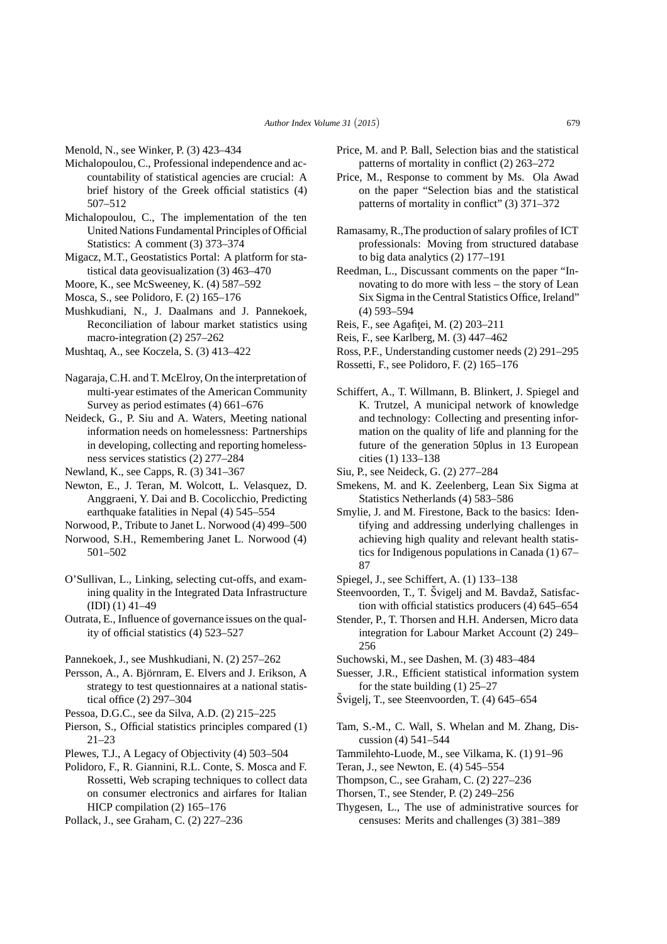Menold, N., see Winker, P. (3) 423–434

- Michalopoulou, C., Professional independence and accountability of statistical agencies are crucial: A brief history of the Greek official statistics (4) 507–512
- Michalopoulou, C., The implementation of the ten United Nations Fundamental Principles of Official Statistics: A comment (3) 373–374
- Migacz, M.T., Geostatistics Portal: A platform for statistical data geovisualization (3) 463–470
- Moore, K., see McSweeney, K. (4) 587–592
- Mosca, S., see Polidoro, F. (2) 165–176
- Mushkudiani, N., J. Daalmans and J. Pannekoek, Reconciliation of labour market statistics using macro-integration (2) 257–262
- Mushtaq, A., see Koczela, S. (3) 413–422
- Nagaraja, C.H. and T. McElroy, On the interpretation of multi-year estimates of the American Community Survey as period estimates (4) 661–676
- Neideck, G., P. Siu and A. Waters, Meeting national information needs on homelessness: Partnerships in developing, collecting and reporting homelessness services statistics (2) 277–284
- Newland, K., see Capps, R. (3) 341–367
- Newton, E., J. Teran, M. Wolcott, L. Velasquez, D. Anggraeni, Y. Dai and B. Cocolicchio, Predicting earthquake fatalities in Nepal (4) 545–554
- Norwood, P., Tribute to Janet L. Norwood (4) 499–500
- Norwood, S.H., Remembering Janet L. Norwood (4) 501–502
- O'Sullivan, L., Linking, selecting cut-offs, and examining quality in the Integrated Data Infrastructure (IDI) (1) 41–49
- Outrata, E., Influence of governance issues on the quality of official statistics (4) 523–527

Pannekoek, J., see Mushkudiani, N. (2) 257–262

- Persson, A., A. Björnram, E. Elvers and J. Erikson, A strategy to test questionnaires at a national statistical office (2) 297–304
- Pessoa, D.G.C., see da Silva, A.D. (2) 215–225
- Pierson, S., Official statistics principles compared (1) 21–23
- Plewes, T.J., A Legacy of Objectivity (4) 503–504
- Polidoro, F., R. Giannini, R.L. Conte, S. Mosca and F. Rossetti, Web scraping techniques to collect data on consumer electronics and airfares for Italian HICP compilation (2)  $165-176$
- Pollack, J., see Graham, C. (2) 227–236
- Price, M. and P. Ball, Selection bias and the statistical patterns of mortality in conflict (2) 263–272
- Price, M., Response to comment by Ms. Ola Awad on the paper "Selection bias and the statistical patterns of mortality in conflict" (3) 371–372
- Ramasamy, R.,The production of salary profiles of ICT professionals: Moving from structured database to big data analytics (2) 177–191
- Reedman, L., Discussant comments on the paper "Innovating to do more with less – the story of Lean Six Sigma in the Central Statistics Office, Ireland" (4) 593–594
- Reis, F., see Agafitei, M. (2) 203-211
- Reis, F., see Karlberg, M. (3) 447–462
- Ross, P.F., Understanding customer needs (2) 291–295
- Rossetti, F., see Polidoro, F. (2) 165–176
- Schiffert, A., T. Willmann, B. Blinkert, J. Spiegel and K. Trutzel, A municipal network of knowledge and technology: Collecting and presenting information on the quality of life and planning for the future of the generation 50plus in 13 European cities (1) 133–138
- Siu, P., see Neideck, G. (2) 277–284
- Smekens, M. and K. Zeelenberg, Lean Six Sigma at Statistics Netherlands (4) 583–586
- Smylie, J. and M. Firestone, Back to the basics: Identifying and addressing underlying challenges in achieving high quality and relevant health statistics for Indigenous populations in Canada (1) 67– 87
- Spiegel, J., see Schiffert, A. (1) 133–138
- Steenvoorden, T., T. Švigelj and M. Bavdaž, Satisfaction with official statistics producers (4) 645–654
- Stender, P., T. Thorsen and H.H. Andersen, Micro data integration for Labour Market Account (2) 249– 256
- Suchowski, M., see Dashen, M. (3) 483–484
- Suesser, J.R., Efficient statistical information system for the state building (1) 25–27
- $\text{Svigelj}, T$ ., see Steenvoorden, T. (4) 645–654
- Tam, S.-M., C. Wall, S. Whelan and M. Zhang, Discussion (4) 541–544
- Tammilehto-Luode, M., see Vilkama, K. (1) 91–96
- Teran, J., see Newton, E. (4) 545–554
- Thompson, C., see Graham, C. (2) 227–236
- Thorsen, T., see Stender, P. (2) 249–256
- Thygesen, L., The use of administrative sources for censuses: Merits and challenges (3) 381–389